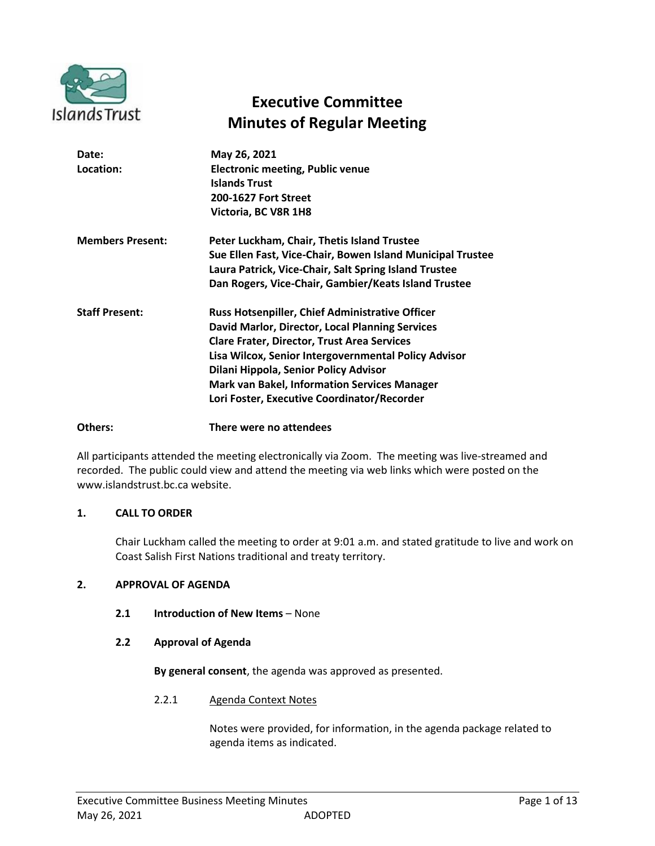

# **Executive Committee Minutes of Regular Meeting**

| Date:<br>Location:      | May 26, 2021<br><b>Electronic meeting, Public venue</b><br><b>Islands Trust</b><br><b>200-1627 Fort Street</b><br>Victoria, BC V8R 1H8                                                                                                                                                                                                                                 |
|-------------------------|------------------------------------------------------------------------------------------------------------------------------------------------------------------------------------------------------------------------------------------------------------------------------------------------------------------------------------------------------------------------|
| <b>Members Present:</b> | Peter Luckham, Chair, Thetis Island Trustee<br>Sue Ellen Fast, Vice-Chair, Bowen Island Municipal Trustee<br>Laura Patrick, Vice-Chair, Salt Spring Island Trustee<br>Dan Rogers, Vice-Chair, Gambier/Keats Island Trustee                                                                                                                                             |
| <b>Staff Present:</b>   | <b>Russ Hotsenpiller, Chief Administrative Officer</b><br>David Marlor, Director, Local Planning Services<br><b>Clare Frater, Director, Trust Area Services</b><br>Lisa Wilcox, Senior Intergovernmental Policy Advisor<br>Dilani Hippola, Senior Policy Advisor<br><b>Mark van Bakel, Information Services Manager</b><br>Lori Foster, Executive Coordinator/Recorder |

# **Others: There were no attendees**

All participants attended the meeting electronically via Zoom. The meeting was live-streamed and recorded. The public could view and attend the meeting via web links which were posted on the www.islandstrust.bc.ca website.

# **1. CALL TO ORDER**

Chair Luckham called the meeting to order at 9:01 a.m. and stated gratitude to live and work on Coast Salish First Nations traditional and treaty territory.

# **2. APPROVAL OF AGENDA**

**2.1 Introduction of New Items** – None

# **2.2 Approval of Agenda**

**By general consent**, the agenda was approved as presented.

2.2.1 Agenda Context Notes

Notes were provided, for information, in the agenda package related to agenda items as indicated.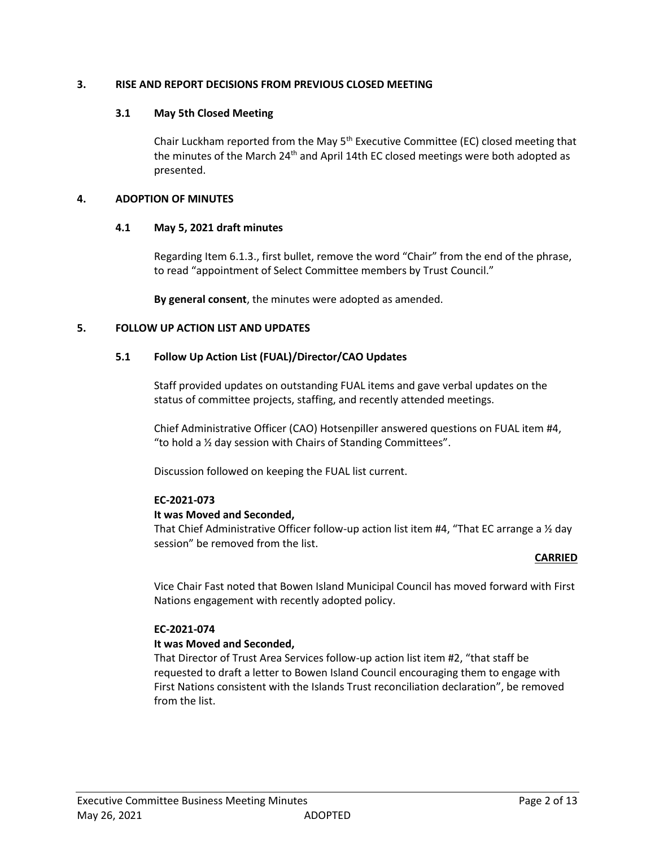# **3. RISE AND REPORT DECISIONS FROM PREVIOUS CLOSED MEETING**

# **3.1 May 5th Closed Meeting**

Chair Luckham reported from the May  $5<sup>th</sup>$  Executive Committee (EC) closed meeting that the minutes of the March  $24<sup>th</sup>$  and April 14th EC closed meetings were both adopted as presented.

# **4. ADOPTION OF MINUTES**

# **4.1 May 5, 2021 draft minutes**

Regarding Item 6.1.3., first bullet, remove the word "Chair" from the end of the phrase, to read "appointment of Select Committee members by Trust Council."

**By general consent**, the minutes were adopted as amended.

# **5. FOLLOW UP ACTION LIST AND UPDATES**

# **5.1 Follow Up Action List (FUAL)/Director/CAO Updates**

Staff provided updates on outstanding FUAL items and gave verbal updates on the status of committee projects, staffing, and recently attended meetings.

Chief Administrative Officer (CAO) Hotsenpiller answered questions on FUAL item #4, "to hold a ½ day session with Chairs of Standing Committees".

Discussion followed on keeping the FUAL list current.

# **EC-2021-073**

# **It was Moved and Seconded,**

That Chief Administrative Officer follow-up action list item #4, "That EC arrange a ½ day session" be removed from the list.

# **CARRIED**

Vice Chair Fast noted that Bowen Island Municipal Council has moved forward with First Nations engagement with recently adopted policy.

# **EC-2021-074**

# **It was Moved and Seconded,**

That Director of Trust Area Services follow-up action list item #2, "that staff be requested to draft a letter to Bowen Island Council encouraging them to engage with First Nations consistent with the Islands Trust reconciliation declaration", be removed from the list.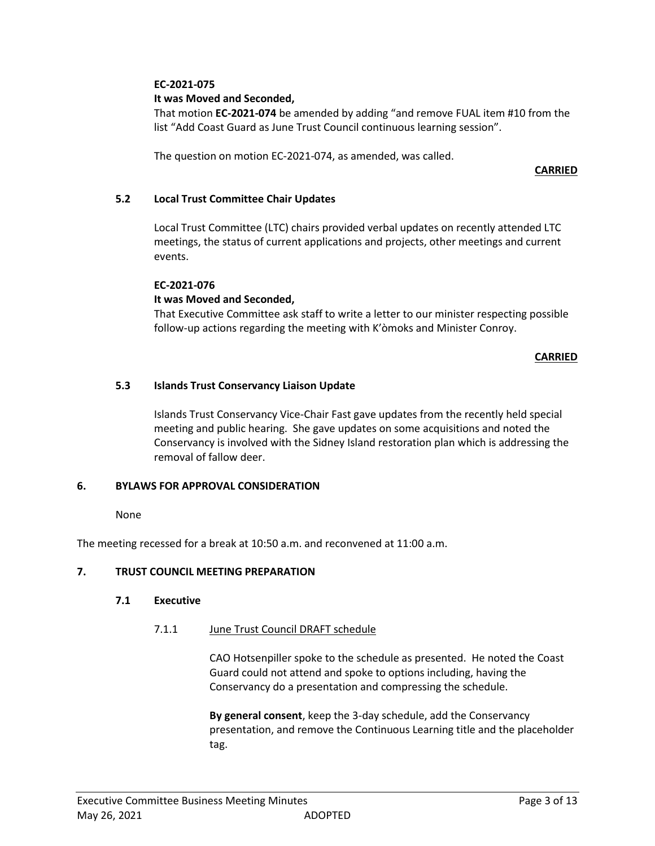# **EC-2021-075**

# **It was Moved and Seconded,**

That motion **EC-2021-074** be amended by adding "and remove FUAL item #10 from the list "Add Coast Guard as June Trust Council continuous learning session".

The question on motion EC-2021-074, as amended, was called.

# **CARRIED**

# **5.2 Local Trust Committee Chair Updates**

Local Trust Committee (LTC) chairs provided verbal updates on recently attended LTC meetings, the status of current applications and projects, other meetings and current events.

# **EC-2021-076**

# **It was Moved and Seconded,**

That Executive Committee ask staff to write a letter to our minister respecting possible follow-up actions regarding the meeting with K'òmoks and Minister Conroy.

# **CARRIED**

# **5.3 Islands Trust Conservancy Liaison Update**

Islands Trust Conservancy Vice-Chair Fast gave updates from the recently held special meeting and public hearing. She gave updates on some acquisitions and noted the Conservancy is involved with the Sidney Island restoration plan which is addressing the removal of fallow deer.

# **6. BYLAWS FOR APPROVAL CONSIDERATION**

None

The meeting recessed for a break at 10:50 a.m. and reconvened at 11:00 a.m.

# **7. TRUST COUNCIL MEETING PREPARATION**

# **7.1 Executive**

# 7.1.1 June Trust Council DRAFT schedule

CAO Hotsenpiller spoke to the schedule as presented. He noted the Coast Guard could not attend and spoke to options including, having the Conservancy do a presentation and compressing the schedule.

**By general consent**, keep the 3-day schedule, add the Conservancy presentation, and remove the Continuous Learning title and the placeholder tag.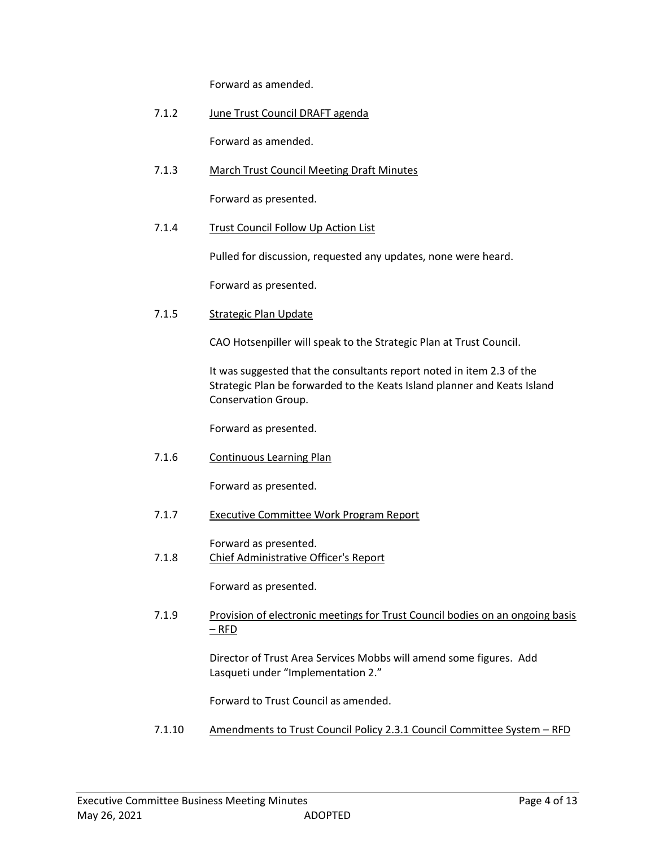Forward as amended.

7.1.2 June Trust Council DRAFT agenda

Forward as amended.

7.1.3 March Trust Council Meeting Draft Minutes

Forward as presented.

7.1.4 Trust Council Follow Up Action List

Pulled for discussion, requested any updates, none were heard.

Forward as presented.

7.1.5 Strategic Plan Update

CAO Hotsenpiller will speak to the Strategic Plan at Trust Council.

It was suggested that the consultants report noted in item 2.3 of the Strategic Plan be forwarded to the Keats Island planner and Keats Island Conservation Group.

Forward as presented.

7.1.6 Continuous Learning Plan

Forward as presented.

7.1.7 Executive Committee Work Program Report

Forward as presented.

7.1.8 Chief Administrative Officer's Report

Forward as presented.

7.1.9 Provision of electronic meetings for Trust Council bodies on an ongoing basis – RFD

> Director of Trust Area Services Mobbs will amend some figures. Add Lasqueti under "Implementation 2."

Forward to Trust Council as amended.

7.1.10 Amendments to Trust Council Policy 2.3.1 Council Committee System – RFD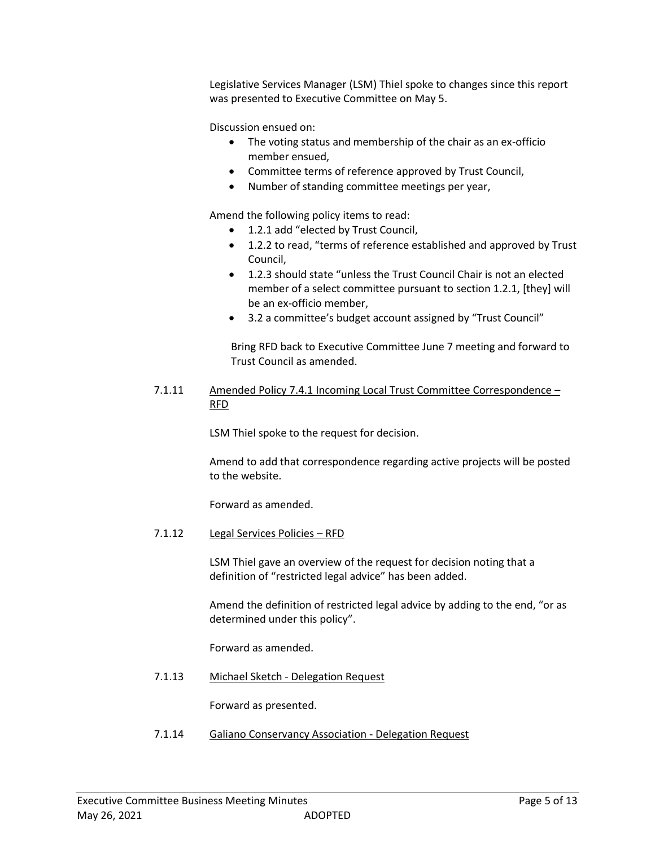Legislative Services Manager (LSM) Thiel spoke to changes since this report was presented to Executive Committee on May 5.

Discussion ensued on:

- The voting status and membership of the chair as an ex-officio member ensued,
- Committee terms of reference approved by Trust Council,
- Number of standing committee meetings per year,

Amend the following policy items to read:

- 1.2.1 add "elected by Trust Council,
- 1.2.2 to read, "terms of reference established and approved by Trust Council,
- 1.2.3 should state "unless the Trust Council Chair is not an elected member of a select committee pursuant to section 1.2.1, [they] will be an ex-officio member,
- 3.2 a committee's budget account assigned by "Trust Council"

Bring RFD back to Executive Committee June 7 meeting and forward to Trust Council as amended.

7.1.11 Amended Policy 7.4.1 Incoming Local Trust Committee Correspondence – RFD

LSM Thiel spoke to the request for decision.

Amend to add that correspondence regarding active projects will be posted to the website.

Forward as amended.

7.1.12 Legal Services Policies – RFD

LSM Thiel gave an overview of the request for decision noting that a definition of "restricted legal advice" has been added.

Amend the definition of restricted legal advice by adding to the end, "or as determined under this policy".

Forward as amended.

7.1.13 Michael Sketch - Delegation Request

Forward as presented.

7.1.14 Galiano Conservancy Association - Delegation Request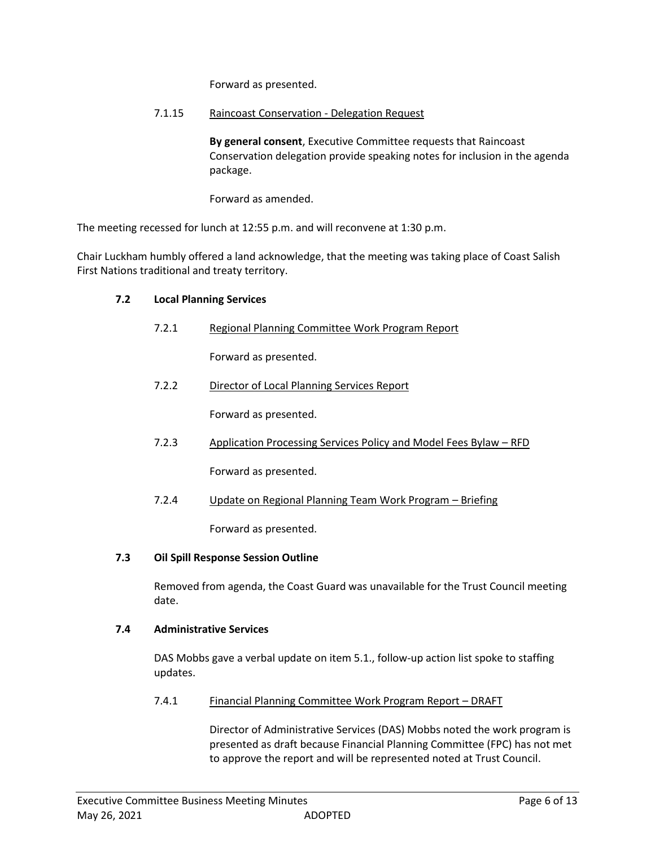Forward as presented.

# 7.1.15 Raincoast Conservation - Delegation Request

**By general consent**, Executive Committee requests that Raincoast Conservation delegation provide speaking notes for inclusion in the agenda package.

Forward as amended.

The meeting recessed for lunch at 12:55 p.m. and will reconvene at 1:30 p.m.

Chair Luckham humbly offered a land acknowledge, that the meeting was taking place of Coast Salish First Nations traditional and treaty territory.

# **7.2 Local Planning Services**

7.2.1 Regional Planning Committee Work Program Report

Forward as presented.

7.2.2 Director of Local Planning Services Report

Forward as presented.

7.2.3 Application Processing Services Policy and Model Fees Bylaw – RFD

Forward as presented.

7.2.4 Update on Regional Planning Team Work Program – Briefing

Forward as presented.

# **7.3 Oil Spill Response Session Outline**

Removed from agenda, the Coast Guard was unavailable for the Trust Council meeting date.

# **7.4 Administrative Services**

DAS Mobbs gave a verbal update on item 5.1., follow-up action list spoke to staffing updates.

7.4.1 Financial Planning Committee Work Program Report - DRAFT

Director of Administrative Services (DAS) Mobbs noted the work program is presented as draft because Financial Planning Committee (FPC) has not met to approve the report and will be represented noted at Trust Council.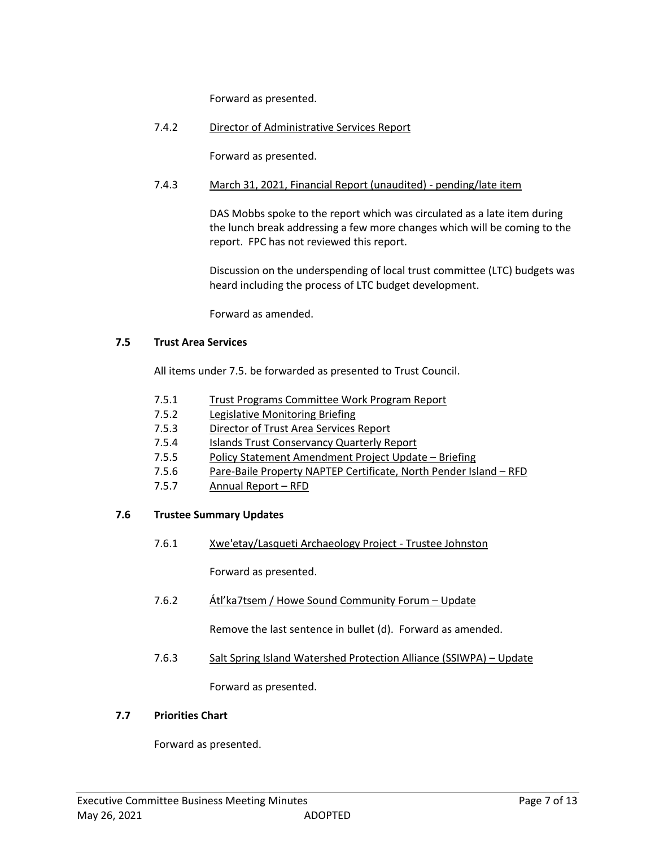Forward as presented.

7.4.2 Director of Administrative Services Report

Forward as presented.

# 7.4.3 March 31, 2021, Financial Report (unaudited) - pending/late item

DAS Mobbs spoke to the report which was circulated as a late item during the lunch break addressing a few more changes which will be coming to the report. FPC has not reviewed this report.

Discussion on the underspending of local trust committee (LTC) budgets was heard including the process of LTC budget development.

Forward as amended.

# **7.5 Trust Area Services**

All items under 7.5. be forwarded as presented to Trust Council.

- 7.5.1 Trust Programs Committee Work Program Report
- 7.5.2 Legislative Monitoring Briefing
- 7.5.3 Director of Trust Area Services Report
- 7.5.4 Islands Trust Conservancy Quarterly Report
- 7.5.5 Policy Statement Amendment Project Update Briefing
- 7.5.6 Pare-Baile Property NAPTEP Certificate, North Pender Island RFD
- 7.5.7 Annual Report RFD

# **7.6 Trustee Summary Updates**

7.6.1 Xwe'etay/Lasqueti Archaeology Project - Trustee Johnston

Forward as presented.

7.6.2 Átl'ka7tsem / Howe Sound Community Forum – Update

Remove the last sentence in bullet (d). Forward as amended.

7.6.3 Salt Spring Island Watershed Protection Alliance (SSIWPA) – Update

Forward as presented.

# **7.7 Priorities Chart**

Forward as presented.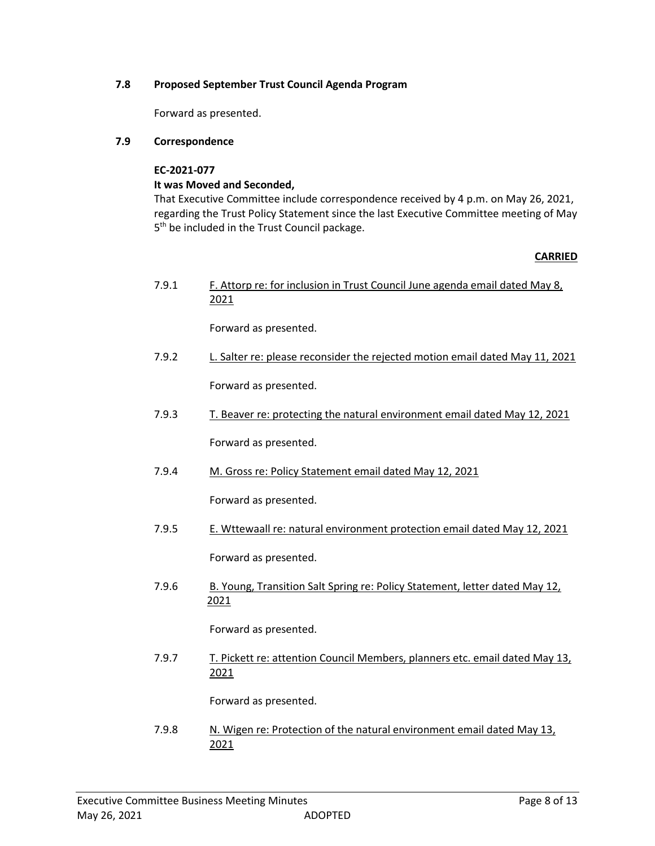# **7.8 Proposed September Trust Council Agenda Program**

Forward as presented.

# **7.9 Correspondence**

**EC-2021-077**

# **It was Moved and Seconded,**

That Executive Committee include correspondence received by 4 p.m. on May 26, 2021, regarding the Trust Policy Statement since the last Executive Committee meeting of May 5<sup>th</sup> be included in the Trust Council package.

# **CARRIED**

7.9.1 F. Attorp re: for inclusion in Trust Council June agenda email dated May 8, 2021

Forward as presented.

7.9.2 L. Salter re: please reconsider the rejected motion email dated May 11, 2021

Forward as presented.

7.9.3 T. Beaver re: protecting the natural environment email dated May 12, 2021

Forward as presented.

7.9.4 M. Gross re: Policy Statement email dated May 12, 2021

Forward as presented.

- 7.9.5 E. Wttewaall re: natural environment protection email dated May 12, 2021 Forward as presented.
- 7.9.6 B. Young, Transition Salt Spring re: Policy Statement, letter dated May 12, 2021

Forward as presented.

7.9.7 T. Pickett re: attention Council Members, planners etc. email dated May 13, 2021

Forward as presented.

7.9.8 N. Wigen re: Protection of the natural environment email dated May 13, 2021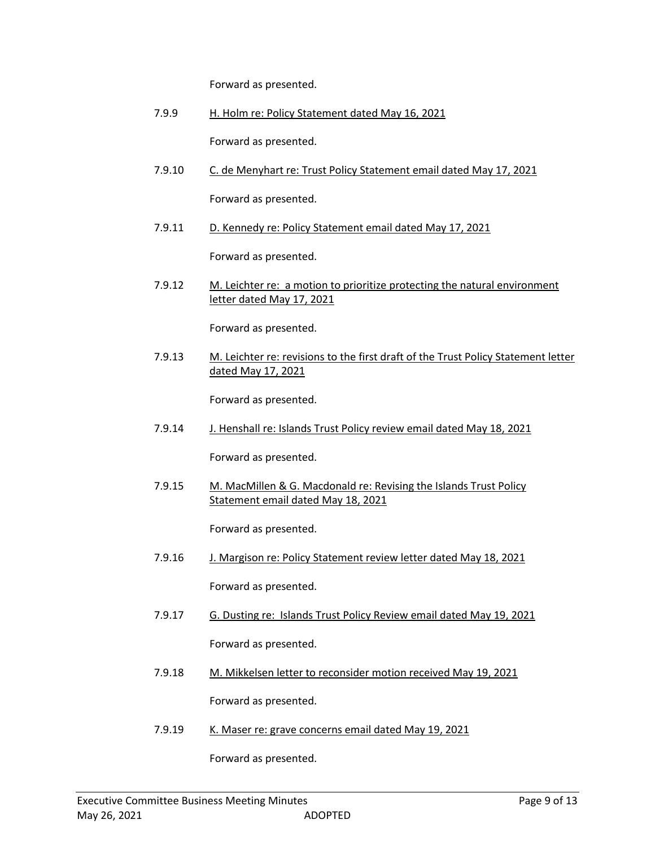Forward as presented.

7.9.9 H. Holm re: Policy Statement dated May 16, 2021

Forward as presented.

7.9.10 C. de Menyhart re: Trust Policy Statement email dated May 17, 2021

Forward as presented.

7.9.11 D. Kennedy re: Policy Statement email dated May 17, 2021

Forward as presented.

7.9.12 M. Leichter re: a motion to prioritize protecting the natural environment letter dated May 17, 2021

Forward as presented.

7.9.13 M. Leichter re: revisions to the first draft of the Trust Policy Statement letter dated May 17, 2021

Forward as presented.

7.9.14 J. Henshall re: Islands Trust Policy review email dated May 18, 2021

Forward as presented.

7.9.15 M. MacMillen & G. Macdonald re: Revising the Islands Trust Policy Statement email dated May 18, 2021

Forward as presented.

- 7.9.16 J. Margison re: Policy Statement review letter dated May 18, 2021 Forward as presented.
- 7.9.17 G. Dusting re: Islands Trust Policy Review email dated May 19, 2021 Forward as presented.
- 7.9.18 M. Mikkelsen letter to reconsider motion received May 19, 2021

Forward as presented.

7.9.19 K. Maser re: grave concerns email dated May 19, 2021

Forward as presented.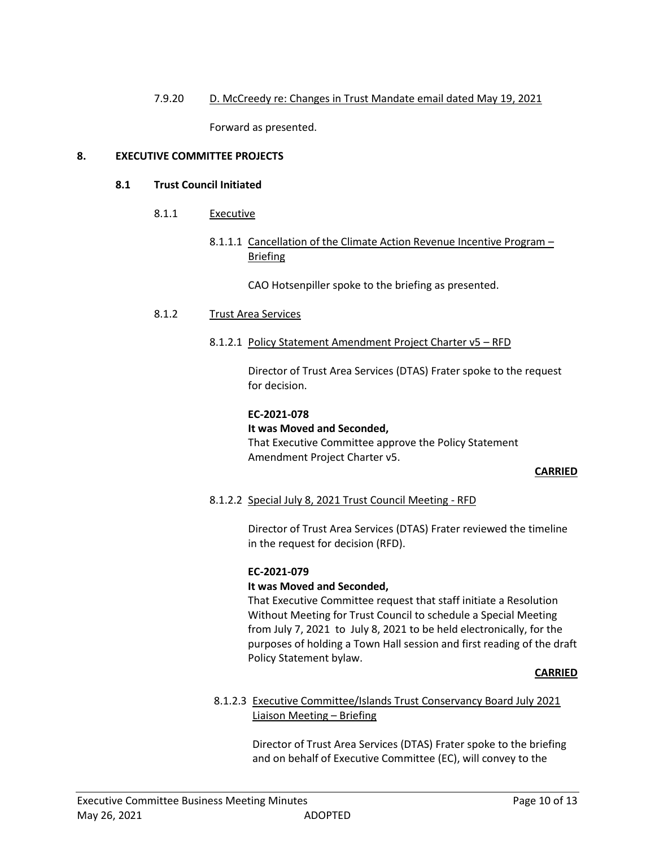# 7.9.20 D. McCreedy re: Changes in Trust Mandate email dated May 19, 2021

Forward as presented.

# **8. EXECUTIVE COMMITTEE PROJECTS**

# **8.1 Trust Council Initiated**

- 8.1.1 Executive
	- 8.1.1.1 Cancellation of the Climate Action Revenue Incentive Program Briefing

CAO Hotsenpiller spoke to the briefing as presented.

# 8.1.2 Trust Area Services

8.1.2.1 Policy Statement Amendment Project Charter v5 – RFD

Director of Trust Area Services (DTAS) Frater spoke to the request for decision.

#### **EC-2021-078**

# **It was Moved and Seconded,**

That Executive Committee approve the Policy Statement Amendment Project Charter v5.

# **CARRIED**

# 8.1.2.2 Special July 8, 2021 Trust Council Meeting - RFD

Director of Trust Area Services (DTAS) Frater reviewed the timeline in the request for decision (RFD).

# **EC-2021-079**

# **It was Moved and Seconded,**

That Executive Committee request that staff initiate a Resolution Without Meeting for Trust Council to schedule a Special Meeting from July 7, 2021 to July 8, 2021 to be held electronically, for the purposes of holding a Town Hall session and first reading of the draft Policy Statement bylaw.

#### **CARRIED**

# 8.1.2.3 Executive Committee/Islands Trust Conservancy Board July 2021 Liaison Meeting – Briefing

Director of Trust Area Services (DTAS) Frater spoke to the briefing and on behalf of Executive Committee (EC), will convey to the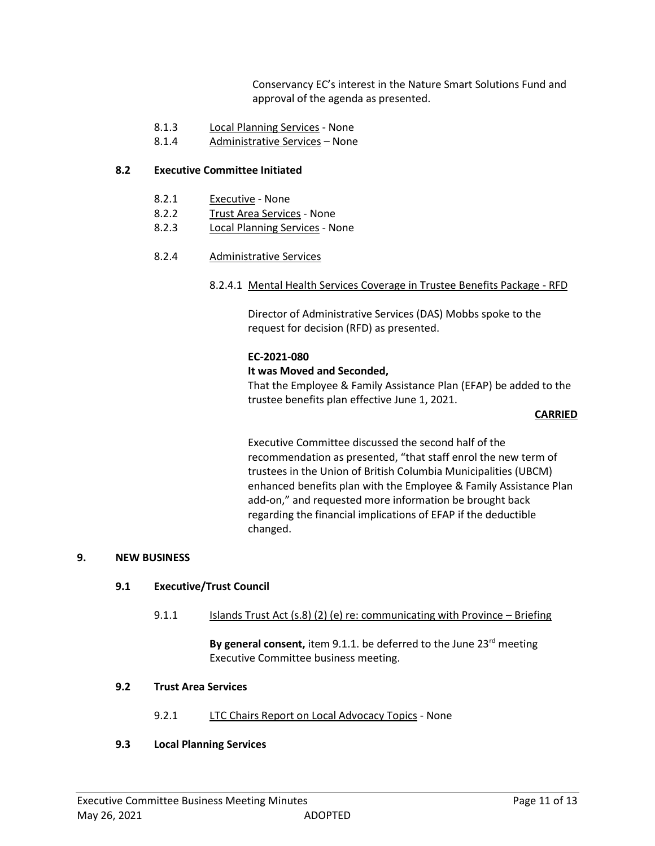Conservancy EC's interest in the Nature Smart Solutions Fund and approval of the agenda as presented.

- 8.1.3 Local Planning Services None
- 8.1.4 Administrative Services None

#### **8.2 Executive Committee Initiated**

- 8.2.1 Executive None
- 8.2.2 Trust Area Services None
- 8.2.3 Local Planning Services None
- 8.2.4 Administrative Services
	- 8.2.4.1 Mental Health Services Coverage in Trustee Benefits Package RFD

Director of Administrative Services (DAS) Mobbs spoke to the request for decision (RFD) as presented.

#### **EC-2021-080**

#### **It was Moved and Seconded,**

That the Employee & Family Assistance Plan (EFAP) be added to the trustee benefits plan effective June 1, 2021.

#### **CARRIED**

Executive Committee discussed the second half of the recommendation as presented, "that staff enrol the new term of trustees in the Union of British Columbia Municipalities (UBCM) enhanced benefits plan with the Employee & Family Assistance Plan add-on," and requested more information be brought back regarding the financial implications of EFAP if the deductible changed.

#### **9. NEW BUSINESS**

# **9.1 Executive/Trust Council**

9.1.1 Islands Trust Act (s.8) (2) (e) re: communicating with Province – Briefing

**By general consent,** item 9.1.1. be deferred to the June 23<sup>rd</sup> meeting Executive Committee business meeting.

# **9.2 Trust Area Services**

9.2.1 LTC Chairs Report on Local Advocacy Topics - None

#### **9.3 Local Planning Services**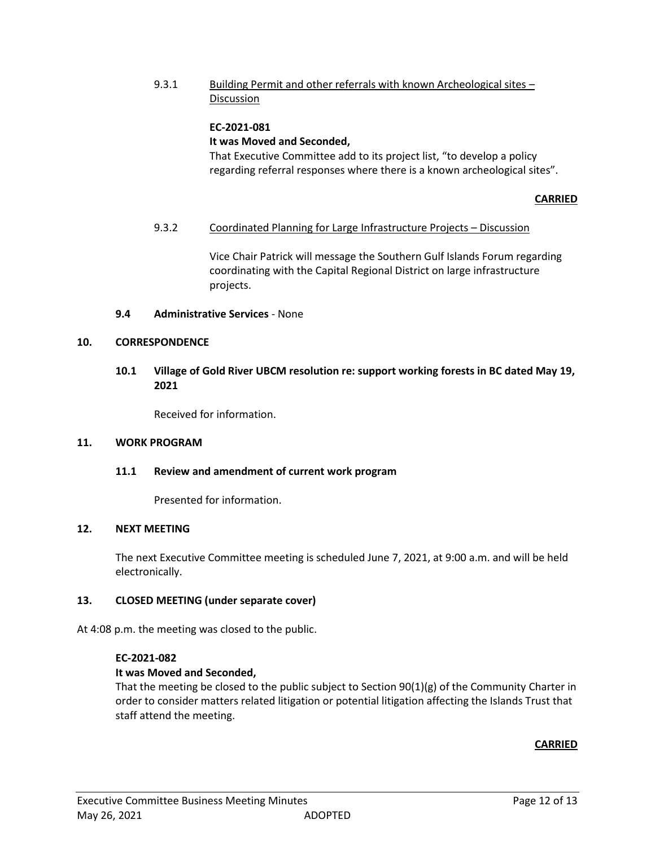9.3.1 Building Permit and other referrals with known Archeological sites – Discussion

#### **EC-2021-081 It was Moved and Seconded,**

That Executive Committee add to its project list, "to develop a policy regarding referral responses where there is a known archeological sites".

# **CARRIED**

# 9.3.2 Coordinated Planning for Large Infrastructure Projects - Discussion

Vice Chair Patrick will message the Southern Gulf Islands Forum regarding coordinating with the Capital Regional District on large infrastructure projects.

# **9.4 Administrative Services** - None

# **10. CORRESPONDENCE**

# **10.1 Village of Gold River UBCM resolution re: support working forests in BC dated May 19, 2021**

Received for information.

# **11. WORK PROGRAM**

# **11.1 Review and amendment of current work program**

Presented for information.

# **12. NEXT MEETING**

The next Executive Committee meeting is scheduled June 7, 2021, at 9:00 a.m. and will be held electronically.

# **13. CLOSED MEETING (under separate cover)**

At 4:08 p.m. the meeting was closed to the public.

# **EC-2021-082**

# **It was Moved and Seconded,**

That the meeting be closed to the public subject to Section  $90(1)(g)$  of the Community Charter in order to consider matters related litigation or potential litigation affecting the Islands Trust that staff attend the meeting.

# **CARRIED**